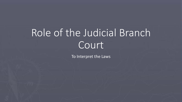# Role of the Judicial Branch Court<sup>'</sup>

To Interpret the Laws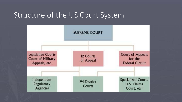### Structure of the US Court System

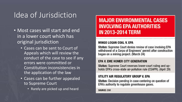## Idea of Jurisdiction

- Most cases will start and end in a lower court which has original jurisdiction
	- Cases can be sent to Court of Appeals which will review the conduct of the case to see if any errors were committed or Constitution inconsistencies in the application of the law
	- Cases can be further appealed to Supreme Court
		- Rarely are picked up and heard

### **MAJOR ENVIRONMENTAL CASES INVOLVING EPA AUTHORITIES IN 2013-2014 TERM**

#### MINGO LOGAN COAL V. EPA

Status: Supreme Court denies review of case involving EPA withdrawal of a Corps of Engineers' permit after construction began on a mining project. (March 24)

#### EPA V. EME HOMER CITY GENERATION

Status: Supreme Court reverses lower-court ruling and upholds EPA's cross-state air-pollution rule (CSAPR). (April 29)

#### UTILITY AIR REGULATORY GROUP V. EPA

Status: Decision pending in case centering on question of EPA's authority to regulate greenhouse gases.

**SOURCE: ENR**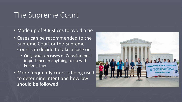### The Supreme Court

- Made up of 9 Justices to avoid a tie
- Cases can be recommended to the Supreme Court or the Supreme Court can decide to take a case on
	- Only takes on cases of Constitutional importance or anything to do with Federal Law
- More frequently court is being used to determine intent and how law should be followed

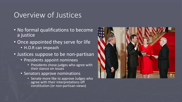### Overview of Justices

- No formal qualifications to become a justice
- Once appointed they serve for life
	- H.O.R can impeach
- Justices suppose to be non-partisan
	- Presidents appoint nominees
		- Presidents chose judges who agree with their stance on issues
	- Senators approve nominations
		- Senate more like to approve Judges who agree with their interpretations off constitution (or non-partisan views)

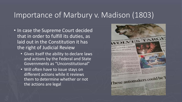### Importance of Marbury v. Madison (1803)

- . In case the Supreme Court decided that in order to fulfill its duties, as laid out in the Constitution it has the right of Judicial Review
	- Gives itself the ability to declare laws and actions by the Federal and State Governments as "Unconstitutional"
	- Will often have to issue stays on different actions while it reviews them to determine whether or not the actions are legal